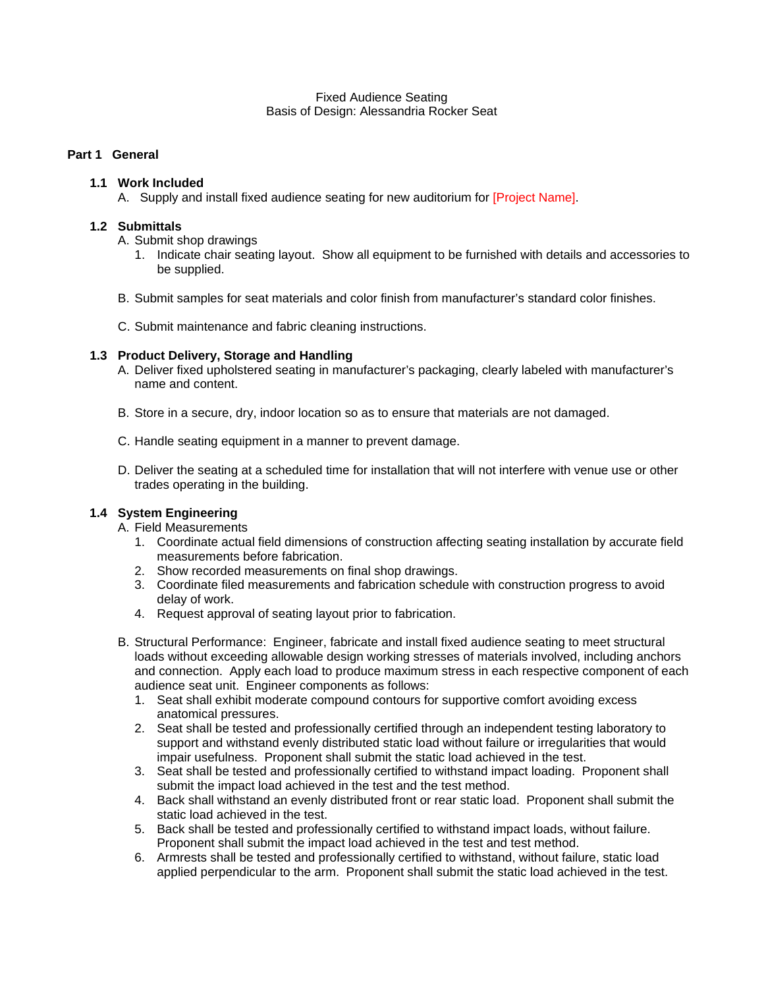#### Fixed Audience Seating Basis of Design: Alessandria Rocker Seat

# **Part 1 General**

### **1.1 Work Included**

A. Supply and install fixed audience seating for new auditorium for [Project Name].

# **1.2 Submittals**

A. Submit shop drawings

- 1. Indicate chair seating layout. Show all equipment to be furnished with details and accessories to be supplied.
- B. Submit samples for seat materials and color finish from manufacturer's standard color finishes.
- C. Submit maintenance and fabric cleaning instructions.

# **1.3 Product Delivery, Storage and Handling**

- A. Deliver fixed upholstered seating in manufacturer's packaging, clearly labeled with manufacturer's name and content.
- B. Store in a secure, dry, indoor location so as to ensure that materials are not damaged.
- C. Handle seating equipment in a manner to prevent damage.
- D. Deliver the seating at a scheduled time for installation that will not interfere with venue use or other trades operating in the building.

# **1.4 System Engineering**

- A. Field Measurements
	- 1. Coordinate actual field dimensions of construction affecting seating installation by accurate field measurements before fabrication.
	- 2. Show recorded measurements on final shop drawings.
	- 3. Coordinate filed measurements and fabrication schedule with construction progress to avoid delay of work.
	- 4. Request approval of seating layout prior to fabrication.
- B. Structural Performance: Engineer, fabricate and install fixed audience seating to meet structural loads without exceeding allowable design working stresses of materials involved, including anchors and connection. Apply each load to produce maximum stress in each respective component of each audience seat unit. Engineer components as follows:
	- 1. Seat shall exhibit moderate compound contours for supportive comfort avoiding excess anatomical pressures.
	- 2. Seat shall be tested and professionally certified through an independent testing laboratory to support and withstand evenly distributed static load without failure or irregularities that would impair usefulness. Proponent shall submit the static load achieved in the test.
	- 3. Seat shall be tested and professionally certified to withstand impact loading. Proponent shall submit the impact load achieved in the test and the test method.
	- 4. Back shall withstand an evenly distributed front or rear static load. Proponent shall submit the static load achieved in the test.
	- 5. Back shall be tested and professionally certified to withstand impact loads, without failure. Proponent shall submit the impact load achieved in the test and test method.
	- 6. Armrests shall be tested and professionally certified to withstand, without failure, static load applied perpendicular to the arm. Proponent shall submit the static load achieved in the test.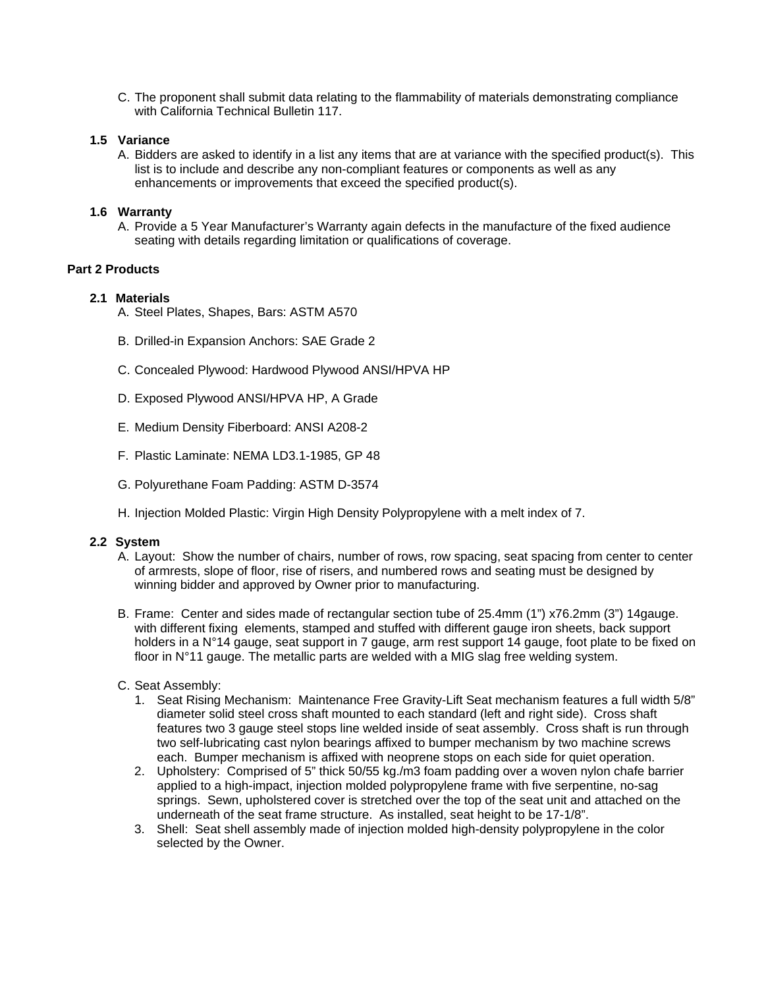C. The proponent shall submit data relating to the flammability of materials demonstrating compliance with California Technical Bulletin 117.

### **1.5 Variance**

A. Bidders are asked to identify in a list any items that are at variance with the specified product(s). This list is to include and describe any non-compliant features or components as well as any enhancements or improvements that exceed the specified product(s).

# **1.6 Warranty**

A. Provide a 5 Year Manufacturer's Warranty again defects in the manufacture of the fixed audience seating with details regarding limitation or qualifications of coverage.

# **Part 2 Products**

# **2.1 Materials**

- A. Steel Plates, Shapes, Bars: ASTM A570
- B. Drilled-in Expansion Anchors: SAE Grade 2
- C. Concealed Plywood: Hardwood Plywood ANSI/HPVA HP
- D. Exposed Plywood ANSI/HPVA HP, A Grade
- E. Medium Density Fiberboard: ANSI A208-2
- F. Plastic Laminate: NEMA LD3.1-1985, GP 48
- G. Polyurethane Foam Padding: ASTM D-3574
- H. Injection Molded Plastic: Virgin High Density Polypropylene with a melt index of 7.

#### **2.2 System**

- A. Layout: Show the number of chairs, number of rows, row spacing, seat spacing from center to center of armrests, slope of floor, rise of risers, and numbered rows and seating must be designed by winning bidder and approved by Owner prior to manufacturing.
- B. Frame: Center and sides made of rectangular section tube of 25.4mm (1") x76.2mm (3") 14gauge. with different fixing elements, stamped and stuffed with different gauge iron sheets, back support holders in a N°14 gauge, seat support in 7 gauge, arm rest support 14 gauge, foot plate to be fixed on floor in N°11 gauge. The metallic parts are welded with a MIG slag free welding system.

#### C. Seat Assembly:

- 1. Seat Rising Mechanism: Maintenance Free Gravity-Lift Seat mechanism features a full width 5/8" diameter solid steel cross shaft mounted to each standard (left and right side). Cross shaft features two 3 gauge steel stops line welded inside of seat assembly. Cross shaft is run through two self-lubricating cast nylon bearings affixed to bumper mechanism by two machine screws each. Bumper mechanism is affixed with neoprene stops on each side for quiet operation.
- 2. Upholstery: Comprised of 5" thick 50/55 kg./m3 foam padding over a woven nylon chafe barrier applied to a high-impact, injection molded polypropylene frame with five serpentine, no-sag springs. Sewn, upholstered cover is stretched over the top of the seat unit and attached on the underneath of the seat frame structure. As installed, seat height to be 17-1/8".
- 3. Shell: Seat shell assembly made of injection molded high-density polypropylene in the color selected by the Owner.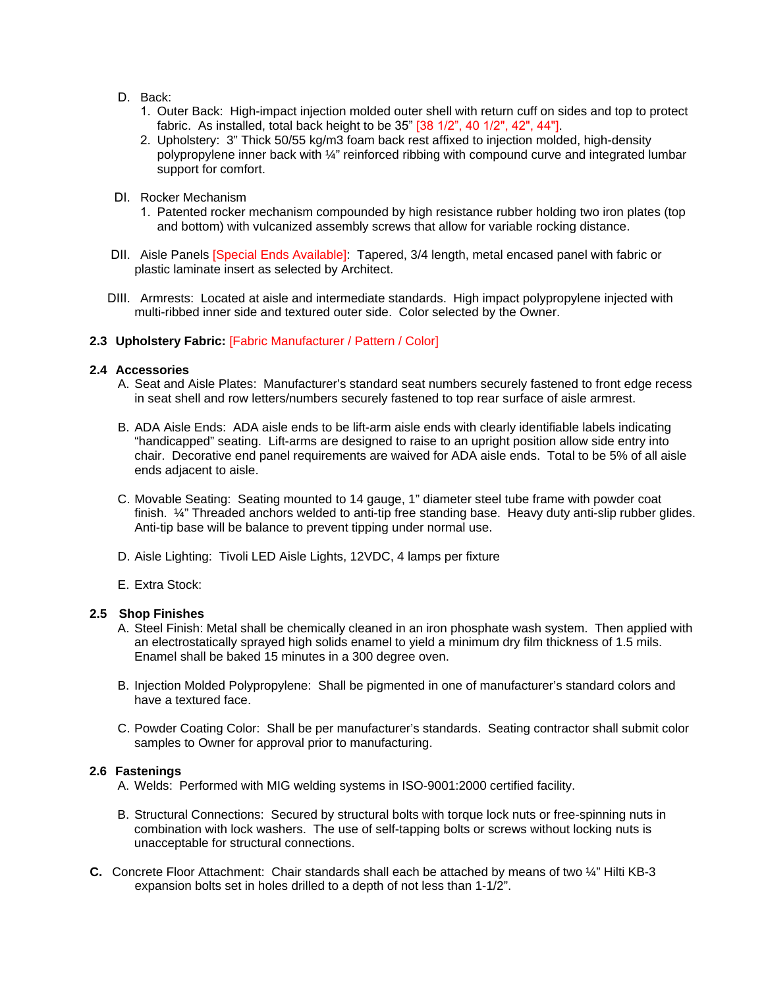- D. Back:
	- 1. Outer Back: High-impact injection molded outer shell with return cuff on sides and top to protect fabric. As installed, total back height to be 35" [38 1/2", 40 1/2", 42", 44"].
	- 2. Upholstery: 3" Thick 50/55 kg/m3 foam back rest affixed to injection molded, high-density polypropylene inner back with ¼" reinforced ribbing with compound curve and integrated lumbar support for comfort.
- DI. Rocker Mechanism
	- 1. Patented rocker mechanism compounded by high resistance rubber holding two iron plates (top and bottom) with vulcanized assembly screws that allow for variable rocking distance.
- DII. Aisle Panels [Special Ends Available]: Tapered, 3/4 length, metal encased panel with fabric or plastic laminate insert as selected by Architect.
- DIII. Armrests: Located at aisle and intermediate standards. High impact polypropylene injected with multi-ribbed inner side and textured outer side. Color selected by the Owner.

# **2.3 Upholstery Fabric:** [Fabric Manufacturer / Pattern / Color]

#### **2.4 Accessories**

- A. Seat and Aisle Plates: Manufacturer's standard seat numbers securely fastened to front edge recess in seat shell and row letters/numbers securely fastened to top rear surface of aisle armrest.
- B. ADA Aisle Ends: ADA aisle ends to be lift-arm aisle ends with clearly identifiable labels indicating "handicapped" seating. Lift-arms are designed to raise to an upright position allow side entry into chair. Decorative end panel requirements are waived for ADA aisle ends. Total to be 5% of all aisle ends adjacent to aisle.
- C. Movable Seating: Seating mounted to 14 gauge, 1" diameter steel tube frame with powder coat finish.  $\frac{1}{4}$ " Threaded anchors welded to anti-tip free standing base. Heavy duty anti-slip rubber glides. Anti-tip base will be balance to prevent tipping under normal use.
- D. Aisle Lighting: Tivoli LED Aisle Lights, 12VDC, 4 lamps per fixture
- E. Extra Stock:

#### **2.5 Shop Finishes**

- A. Steel Finish: Metal shall be chemically cleaned in an iron phosphate wash system. Then applied with an electrostatically sprayed high solids enamel to yield a minimum dry film thickness of 1.5 mils. Enamel shall be baked 15 minutes in a 300 degree oven.
- B. Injection Molded Polypropylene: Shall be pigmented in one of manufacturer's standard colors and have a textured face.
- C. Powder Coating Color: Shall be per manufacturer's standards. Seating contractor shall submit color samples to Owner for approval prior to manufacturing.

#### **2.6 Fastenings**

- A. Welds: Performed with MIG welding systems in ISO-9001:2000 certified facility.
- B. Structural Connections: Secured by structural bolts with torque lock nuts or free-spinning nuts in combination with lock washers. The use of self-tapping bolts or screws without locking nuts is unacceptable for structural connections.
- **C.** Concrete Floor Attachment: Chair standards shall each be attached by means of two ¼" Hilti KB-3 expansion bolts set in holes drilled to a depth of not less than 1-1/2".